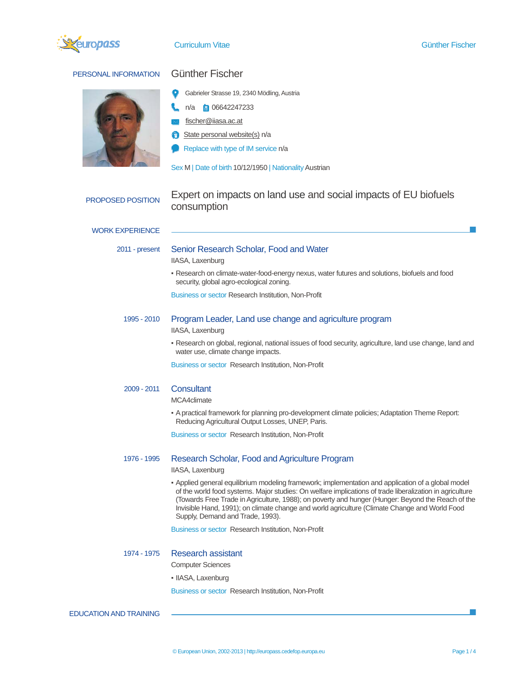

# PERSONAL INFORMATION Günther Fischer

- Gabrieler Strasse 19, 2340 Mödling, Austria
- n/a 06642247233
- fischer@iiasa.ac.at
- State personal website(s) n/a
- Replace with type of IM service n/a

Sex M | Date of birth 10/12/1950 | Nationality Austrian

## PROPOSED POSITION Expert on impacts on land use and social impacts of EU biofuels consumption

### WORK EXPERIENCE

I,

# 2011 - present Senior Research Scholar, Food and Water

IIASA, Laxenburg

▪ Research on climate-water-food-energy nexus, water futures and solutions, biofuels and food security, global agro-ecological zoning.

Business or sector Research Institution, Non-Profit

# 1995 - 2010 Program Leader, Land use change and agriculture program

IIASA, Laxenburg

▪ Research on global, regional, national issues of food security, agriculture, land use change, land and water use, climate change impacts.

Business or sector Research Institution, Non-Profit

### 2009 - 2011 Consultant

MCA4climate

▪ A practical framework for planning pro-development climate policies; Adaptation Theme Report: Reducing Agricultural Output Losses, UNEP, Paris.

Business or sector Research Institution, Non-Profit

### 1976 - 1995 Research Scholar, Food and Agriculture Program

#### IIASA, Laxenburg

▪ Applied general equilibrium modeling framework; implementation and application of a global model of the world food systems. Major studies: On welfare implications of trade liberalization in agriculture (Towards Free Trade in Agriculture, 1988); on poverty and hunger (Hunger: Beyond the Reach of the Invisible Hand, 1991); on climate change and world agriculture (Climate Change and World Food Supply, Demand and Trade, 1993).

Business or sector Research Institution, Non-Profit

#### 1974 - 1975 Research assistant

Computer Sciences

· IIASA, Laxenburg

Business or sector Research Institution, Non-Profit

EDUCATION AND TRAINING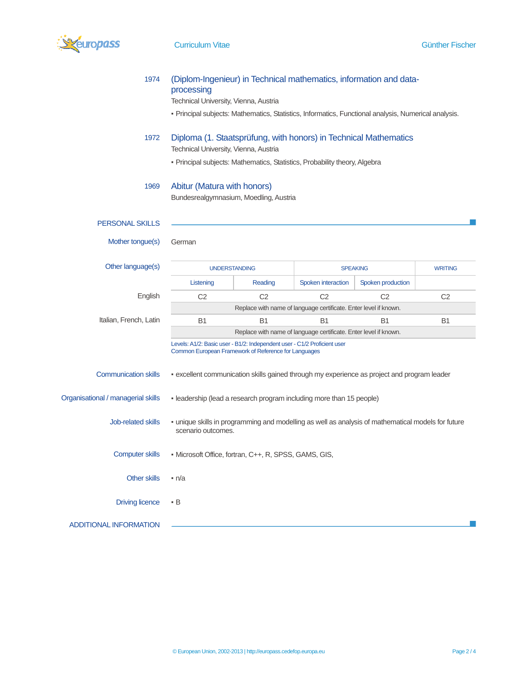

| 1974                               | (Diplom-Ingenieur) in Technical mathematics, information and data-<br>processing<br>Technical University, Vienna, Austria                                                               |                |                           |                   |                |
|------------------------------------|-----------------------------------------------------------------------------------------------------------------------------------------------------------------------------------------|----------------|---------------------------|-------------------|----------------|
|                                    | - Principal subjects: Mathematics, Statistics, Informatics, Functional analysis, Numerical analysis.                                                                                    |                |                           |                   |                |
| 1972                               | Diploma (1. Staatsprüfung, with honors) in Technical Mathematics<br>Technical University, Vienna, Austria<br>- Principal subjects: Mathematics, Statistics, Probability theory, Algebra |                |                           |                   |                |
| 1969                               | Abitur (Matura with honors)<br>Bundesrealgymnasium, Moedling, Austria                                                                                                                   |                |                           |                   |                |
| <b>PERSONAL SKILLS</b>             |                                                                                                                                                                                         |                |                           |                   |                |
| Mother tongue(s)                   | German                                                                                                                                                                                  |                |                           |                   |                |
| Other language(s)                  | <b>UNDERSTANDING</b>                                                                                                                                                                    |                | <b>SPEAKING</b>           |                   | <b>WRITING</b> |
|                                    | Listening                                                                                                                                                                               | Reading        | <b>Spoken interaction</b> | Spoken production |                |
| English                            | C <sub>2</sub>                                                                                                                                                                          | C <sub>2</sub> | C <sub>2</sub>            | C <sub>2</sub>    | C <sub>2</sub> |
|                                    | Replace with name of language certificate. Enter level if known.                                                                                                                        |                |                           |                   |                |
| Italian, French, Latin             | <b>B1</b>                                                                                                                                                                               | <b>B1</b>      | B <sub>1</sub>            | B <sub>1</sub>    | B <sub>1</sub> |
|                                    | Replace with name of language certificate. Enter level if known.                                                                                                                        |                |                           |                   |                |
|                                    | Levels: A1/2: Basic user - B1/2: Independent user - C1/2 Proficient user<br>Common European Framework of Reference for Languages                                                        |                |                           |                   |                |
| <b>Communication skills</b>        | - excellent communication skills gained through my experience as project and program leader                                                                                             |                |                           |                   |                |
| Organisational / managerial skills | - leadership (lead a research program including more than 15 people)                                                                                                                    |                |                           |                   |                |
| <b>Job-related skills</b>          | - unique skills in programming and modelling as well as analysis of mathematical models for future<br>scenario outcomes.                                                                |                |                           |                   |                |
| <b>Computer skills</b>             | • Microsoft Office, fortran, C++, R, SPSS, GAMS, GIS,                                                                                                                                   |                |                           |                   |                |
| <b>Other skills</b>                | n/a                                                                                                                                                                                     |                |                           |                   |                |
| <b>Driving licence</b>             | - B                                                                                                                                                                                     |                |                           |                   |                |
| <b>ADDITIONAL INFORMATION</b>      |                                                                                                                                                                                         |                |                           |                   |                |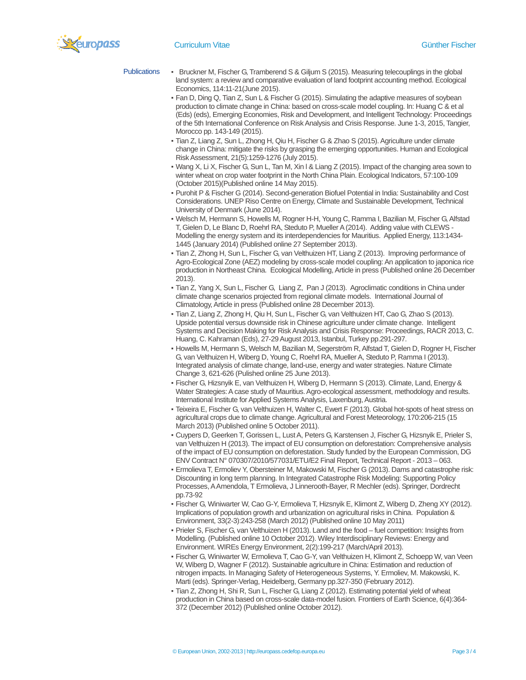**Curriculum Vitae Curriculum Vitae Curriculum Vitae Curriculum Vitae Curriculum Vitae Curriculum Vitae Curriculum Vitae Curriculum Vitae Curriculum Vitae Curriculum Vitae Curriculum Vitae Curriculum Vitae Curriculum Vitae** 

- Publications Bruckner M, Fischer G, Tramberend S & Giljum S (2015). Measuring telecouplings in the global land system: a review and comparative evaluation of land footprint accounting method. Ecological Economics, 114:11-21(June 2015).
	- Fan D, Ding Q, Tian Z, Sun L & Fischer G (2015). Simulating the adaptive measures of soybean production to climate change in China: based on cross-scale model coupling. In: Huang C & et al (Eds) (eds), Emerging Economies, Risk and Development, and Intelligent Technology: Proceedings of the 5th International Conference on Risk Analysis and Crisis Response. June 1-3, 2015, Tangier, Morocco pp. 143-149 (2015).
	- Tian Z, Liang Z, Sun L, Zhong H, Qiu H, Fischer G & Zhao S (2015). Agriculture under climate change in China: mitigate the risks by grasping the emerging opportunities. Human and Ecological Risk Assessment, 21(5):1259-1276 (July 2015).
	- Wang X, Li X, Fischer G, Sun L, Tan M, Xin l & Liang Z (2015). Impact of the changing area sown to winter wheat on crop water footprint in the North China Plain. Ecological Indicators, 57:100-109 (October 2015)(Published online 14 May 2015).
	- Purohit P & Fischer G (2014). Second-generation Biofuel Potential in India: Sustainability and Cost Considerations. UNEP Riso Centre on Energy, Climate and Sustainable Development, Technical University of Denmark (June 2014).
	- Welsch M, Hermann S, Howells M, Rogner H-H, Young C, Ramma I, Bazilian M, Fischer G, Alfstad T, Gielen D, Le Blanc D, Roehrl RA, Steduto P, Mueller A (2014). Adding value with CLEWS - Modelling the energy system and its interdependencies for Mauritius. Applied Energy, 113:1434- 1445 (January 2014) (Published online 27 September 2013).
	- Tian Z, Zhong H, Sun L, Fischer G, van Velthuizen HT, Liang Z (2013). Improving performance of Agro-Ecological Zone (AEZ) modeling by cross-scale model coupling: An application to japonica rice production in Northeast China. Ecological Modelling, Article in press (Published online 26 December 2013).
	- Tian Z, Yang X, Sun L, Fischer G, Liang Z, Pan J (2013). Agroclimatic conditions in China under climate change scenarios projected from regional climate models. International Journal of Climatology, Article in press (Published online 28 December 2013).
	- Tian Z, Liang Z, Zhong H, Qiu H, Sun L, Fischer G, van Velthuizen HT, Cao G, Zhao S (2013). Upside potential versus downside risk in Chinese agriculture under climate change. Intelligent Systems and Decision Making for Risk Analysis and Crisis Response: Proceedings, RACR 2013, C. Huang, C. Kahraman (Eds), 27-29 August 2013, Istanbul, Turkey pp.291-297.
	- Howells M, Hermann S, Welsch M, Bazilian M, Segerström R, Alfstad T, Gielen D, Rogner H, Fischer G, van Velthuizen H, Wiberg D, Young C, Roehrl RA, Mueller A, Steduto P, Ramma I (2013). Integrated analysis of climate change, land-use, energy and water strategies. Nature Climate Change 3, 621-626 (Pulished online 25 June 2013).
	- Fischer G, Hizsnyik E, van Velthuizen H, Wiberg D, Hermann S (2013). Climate, Land, Energy & Water Strategies: A case study of Mauritius. Agro-ecological assessment, methodology and results. International Institute for Applied Systems Analysis, Laxenburg, Austria.
	- Teixeira E, Fischer G, van Velthuizen H, Walter C, Ewert F (2013). Global hot-spots of heat stress on agricultural crops due to climate change. Agricultural and Forest Meteorology, 170:206-215 (15 March 2013) (Published online 5 October 2011).
	- Cuypers D, Geerken T, Gorissen L, Lust A, Peters G, Karstensen J, Fischer G, Hizsnyik E, Prieler S, van Velthuizen H (2013). The impact of EU consumption on deforestation: Comprehensive analysis of the impact of EU consumption on deforestation. Study funded by the European Commission, DG ENV Contract N° 070307/2010/577031/ETU/E2 Final Report, Technical Report - 2013 – 063.
	- Ermolieva T, Ermoliev Y, Obersteiner M, Makowski M, Fischer G (2013). Dams and catastrophe risk: Discounting in long term planning. In Integrated Catastrophe Risk Modeling: Supporting Policy Processes, A Amendola, T Ermolieva, J Linnerooth-Bayer, R Mechler (eds). Springer, Dordrecht pp.73-92
	- Fischer G, Winiwarter W, Cao G-Y, Ermolieva T, Hizsnyik E, Klimont Z, Wiberg D, Zheng XY (2012). Implications of population growth and urbanization on agricultural risks in China. Population & Environment, 33(2-3):243-258 (March 2012) (Published online 10 May 2011)
	- Prieler S, Fischer G, van Velthuizen H (2013). Land and the food fuel competition: Insights from Modelling. (Published online 10 October 2012). Wiley Interdisciplinary Reviews: Energy and Environment. WIREs Energy Environment, 2(2):199-217 (March/April 2013).
	- Fischer G, Winiwarter W, Ermolieva T, Cao G-Y, van Velthuizen H, Klimont Z, Schoepp W, van Veen W, Wiberg D, Wagner F (2012). Sustainable agriculture in China: Estimation and reduction of nitrogen impacts. In Managing Safety of Heterogeneous Systems, Y. Ermoliev, M. Makowski, K. Marti (eds). Springer-Verlag, Heidelberg, Germany pp.327-350 (February 2012).
	- Tian Z, Zhong H, Shi R, Sun L, Fischer G, Liang Z (2012). Estimating potential yield of wheat production in China based on cross-scale data-model fusion. Frontiers of Earth Science, 6(4):364- 372 (December 2012) (Published online October 2012).